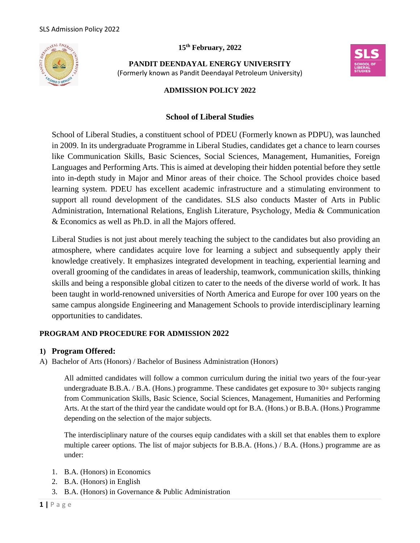**15 th February, 2022**



**PANDIT DEENDAYAL ENERGY UNIVERSITY** (Formerly known as Pandit Deendayal Petroleum University)



### **ADMISSION POLICY 2022**

#### **School of Liberal Studies**

School of Liberal Studies, a constituent school of PDEU (Formerly known as PDPU), was launched in 2009. In its undergraduate Programme in Liberal Studies, candidates get a chance to learn courses like Communication Skills, Basic Sciences, Social Sciences, Management, Humanities, Foreign Languages and Performing Arts. This is aimed at developing their hidden potential before they settle into in-depth study in Major and Minor areas of their choice. The School provides choice based learning system. PDEU has excellent academic infrastructure and a stimulating environment to support all round development of the candidates. SLS also conducts Master of Arts in Public Administration, International Relations, English Literature, Psychology, Media & Communication & Economics as well as Ph.D. in all the Majors offered.

Liberal Studies is not just about merely teaching the subject to the candidates but also providing an atmosphere, where candidates acquire love for learning a subject and subsequently apply their knowledge creatively. It emphasizes integrated development in teaching, experiential learning and overall grooming of the candidates in areas of leadership, teamwork, communication skills, thinking skills and being a responsible global citizen to cater to the needs of the diverse world of work. It has been taught in world-renowned universities of North America and Europe for over 100 years on the same campus alongside Engineering and Management Schools to provide interdisciplinary learning opportunities to candidates.

#### **PROGRAM AND PROCEDURE FOR ADMISSION 2022**

#### **1) Program Offered:**

A) Bachelor of Arts (Honors) / Bachelor of Business Administration (Honors)

All admitted candidates will follow a common curriculum during the initial two years of the four-year undergraduate B.B.A. / B.A. (Hons.) programme. These candidates get exposure to 30+ subjects ranging from Communication Skills, Basic Science, Social Sciences, Management, Humanities and Performing Arts. At the start of the third year the candidate would opt for B.A. (Hons.) or B.B.A. (Hons.) Programme depending on the selection of the major subjects.

The interdisciplinary nature of the courses equip candidates with a skill set that enables them to explore multiple career options. The list of major subjects for B.B.A. (Hons.) / B.A. (Hons.) programme are as under:

- 1. B.A. (Honors) in Economics
- 2. B.A. (Honors) in English
- 3. B.A. (Honors) in Governance & Public Administration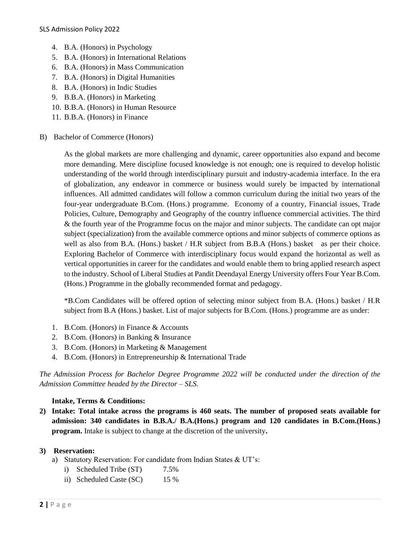- 4. B.A. (Honors) in Psychology
- 5. B.A. (Honors) in International Relations
- 6. B.A. (Honors) in Mass Communication
- 7. B.A. (Honors) in Digital Humanities
- 8. B.A. (Honors) in Indic Studies
- 9. B.B.A. (Honors) in Marketing
- 10. B.B.A. (Honors) in Human Resource
- 11. B.B.A. (Honors) in Finance
- B) Bachelor of Commerce (Honors)

As the global markets are more challenging and dynamic, career opportunities also expand and become more demanding. Mere discipline focused knowledge is not enough; one is required to develop holistic understanding of the world through interdisciplinary pursuit and industry-academia interface. In the era of globalization, any endeavor in commerce or business would surely be impacted by international influences. All admitted candidates will follow a common curriculum during the initial two years of the four-year undergraduate B.Com. (Hons.) programme. Economy of a country, Financial issues, Trade Policies, Culture, Demography and Geography of the country influence commercial activities. The third & the fourth year of the Programme focus on the major and minor subjects. The candidate can opt major subject (specialization) from the available commerce options and minor subjects of commerce options as well as also from B.A. (Hons.) basket / H.R subject from B.B.A (Hons.) basket as per their choice. Exploring Bachelor of Commerce with interdisciplinary focus would expand the horizontal as well as vertical opportunities in career for the candidates and would enable them to bring applied research aspect to the industry. School of Liberal Studies at Pandit Deendayal Energy University offers Four Year B.Com. (Hons.) Programme in the globally recommended format and pedagogy.

\*B.Com Candidates will be offered option of selecting minor subject from B.A. (Hons.) basket / H.R subject from B.A (Hons.) basket. List of major subjects for B.Com. (Hons.) programme are as under:

- 1. B.Com. (Honors) in Finance & Accounts
- 2. B.Com. (Honors) in Banking & Insurance
- 3. B.Com. (Honors) in Marketing & Management
- 4. B.Com. (Honors) in Entrepreneurship & International Trade

*The Admission Process for Bachelor Degree Programme 2022 will be conducted under the direction of the Admission Committee headed by the Director – SLS.*

#### **Intake, Terms & Conditions:**

**2) Intake: Total intake across the programs is 460 seats. The number of proposed seats available for admission: 340 candidates in B.B.A./ B.A.(Hons.) program and 120 candidates in B.Com.(Hons.) program.** Intake is subject to change at the discretion of the university**.**

#### **3) Reservation:**

- a) Statutory Reservation: For candidate from Indian States & UT's:
	- i) Scheduled Tribe (ST) 7.5%
	- ii) Scheduled Caste (SC) 15 %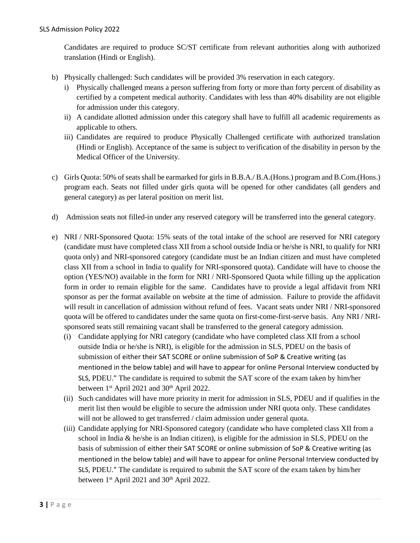Candidates are required to produce SC/ST certificate from relevant authorities along with authorized translation (Hindi or English).

- b) Physically challenged: Such candidates will be provided 3% reservation in each category.
	- i) Physically challenged means a person suffering from forty or more than forty percent of disability as certified by a competent medical authority. Candidates with less than 40% disability are not eligible for admission under this category.
	- ii) A candidate allotted admission under this category shall have to fulfill all academic requirements as applicable to others.
	- iii) Candidates are required to produce Physically Challenged certificate with authorized translation (Hindi or English). Acceptance of the same is subject to verification of the disability in person by the Medical Officer of the University.
- c) Girls Quota: 50% of seats shall be earmarked for girls in B.B.A./ B.A.(Hons.) program and B.Com.(Hons.) program each. Seats not filled under girls quota will be opened for other candidates (all genders and general category) as per lateral position on merit list.
- d) Admission seats not filled-in under any reserved category will be transferred into the general category.
- e) NRI / NRI-Sponsored Quota: 15% seats of the total intake of the school are reserved for NRI category (candidate must have completed class XII from a school outside India or he/she is NRI, to qualify for NRI quota only) and NRI-sponsored category (candidate must be an Indian citizen and must have completed class XII from a school in India to qualify for NRI-sponsored quota). Candidate will have to choose the option (YES/NO) available in the form for NRI / NRI-Sponsored Quota while filling up the application form in order to remain eligible for the same. Candidates have to provide a legal affidavit from NRI sponsor as per the format available on website at the time of admission. Failure to provide the affidavit will result in cancellation of admission without refund of fees. Vacant seats under NRI / NRI-sponsored quota will be offered to candidates under the same quota on first-come-first-serve basis. Any NRI / NRIsponsored seats still remaining vacant shall be transferred to the general category admission.
	- (i) Candidate applying for NRI category (candidate who have completed class XII from a school outside India or he/she is NRI), is eligible for the admission in SLS, PDEU on the basis of submission of either their SAT SCORE or online submission of SoP & Creative writing (as mentioned in the below table) and will have to appear for online Personal Interview conducted by SLS, PDEU." The candidate is required to submit the SAT score of the exam taken by him/her between  $1<sup>st</sup>$  April 2021 and 30<sup>th</sup> April 2022.
	- (ii) Such candidates will have more priority in merit for admission in SLS, PDEU and if qualifies in the merit list then would be eligible to secure the admission under NRI quota only. These candidates will not be allowed to get transferred / claim admission under general quota.
	- (iii) Candidate applying for NRI-Sponsored category (candidate who have completed class XII from a school in India & he/she is an Indian citizen), is eligible for the admission in SLS, PDEU on the basis of submission of either their SAT SCORE or online submission of SoP & Creative writing (as mentioned in the below table) and will have to appear for online Personal Interview conducted by SLS, PDEU." The candidate is required to submit the SAT score of the exam taken by him/her between  $1<sup>st</sup>$  April 2021 and 30<sup>th</sup> April 2022.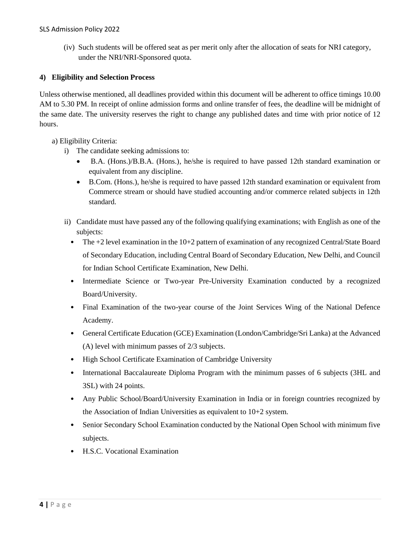(iv) Such students will be offered seat as per merit only after the allocation of seats for NRI category, under the NRI/NRI-Sponsored quota.

### **4) Eligibility and Selection Process**

Unless otherwise mentioned, all deadlines provided within this document will be adherent to office timings 10.00 AM to 5.30 PM. In receipt of online admission forms and online transfer of fees, the deadline will be midnight of the same date. The university reserves the right to change any published dates and time with prior notice of 12 hours.

a) Eligibility Criteria:

- i) The candidate seeking admissions to:
	- B.A. (Hons.)/B.B.A. (Hons.), he/she is required to have passed 12th standard examination or equivalent from any discipline.
	- B.Com. (Hons.), he/she is required to have passed 12th standard examination or equivalent from Commerce stream or should have studied accounting and/or commerce related subjects in 12th standard.
- ii) Candidate must have passed any of the following qualifying examinations; with English as one of the subjects:
	- The +2 level examination in the 10+2 pattern of examination of any recognized Central/State Board of Secondary Education, including Central Board of Secondary Education, New Delhi, and Council for Indian School Certificate Examination, New Delhi.
	- Intermediate Science or Two-year Pre-University Examination conducted by a recognized Board/University.
	- Final Examination of the two-year course of the Joint Services Wing of the National Defence Academy.
	- General Certificate Education (GCE) Examination (London/Cambridge/Sri Lanka) at the Advanced (A) level with minimum passes of 2/3 subjects.
	- High School Certificate Examination of Cambridge University
	- International Baccalaureate Diploma Program with the minimum passes of 6 subjects (3HL and 3SL) with 24 points.
	- Any Public School/Board/University Examination in India or in foreign countries recognized by the Association of Indian Universities as equivalent to 10+2 system.
	- Senior Secondary School Examination conducted by the National Open School with minimum five subjects.
	- H.S.C. Vocational Examination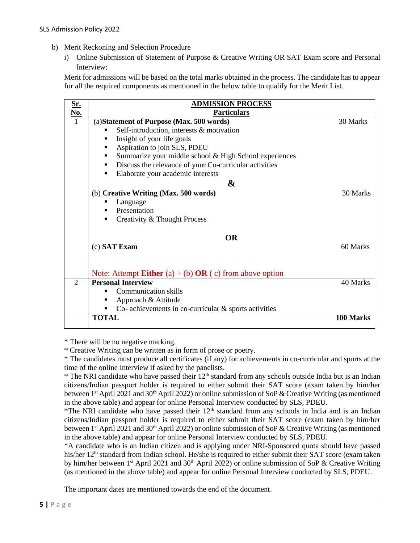- b) Merit Reckoning and Selection Procedure
	- i) Online Submission of Statement of Purpose & Creative Writing OR SAT Exam score and Personal Interview:

Merit for admissions will be based on the total marks obtained in the process. The candidate has to appear for all the required components as mentioned in the below table to qualify for the Merit List.

| <u>Sr.</u>            | <b>ADMISSION PROCESS</b>                                                                                                                                                                                                                                                                                                                                                                   |           |
|-----------------------|--------------------------------------------------------------------------------------------------------------------------------------------------------------------------------------------------------------------------------------------------------------------------------------------------------------------------------------------------------------------------------------------|-----------|
| No.<br>$\overline{1}$ | <b>Particulars</b><br>(a) Statement of Purpose (Max. 500 words)<br>Self-introduction, interests & motivation<br>٠<br>Insight of your life goals<br>٠<br>Aspiration to join SLS, PDEU<br>٠<br>Summarize your middle school & High School experiences<br>٠<br>Discuss the relevance of your Co-curricular activities<br>٠<br>Elaborate your academic interests<br>٠<br>$\boldsymbol{\alpha}$ | 30 Marks  |
|                       | (b) Creative Writing (Max. 500 words)<br>Language<br>Presentation<br>$\blacksquare$<br>Creativity & Thought Process<br>٠                                                                                                                                                                                                                                                                   | 30 Marks  |
|                       | <b>OR</b><br>(c) SAT Exam<br>Note: Attempt <b>Either</b> (a) + (b) $OR$ (c) from above option                                                                                                                                                                                                                                                                                              | 60 Marks  |
| $\mathfrak{D}$        | <b>Personal Interview</b><br><b>Communication skills</b><br>Approach & Attitude<br>٠<br>Co- achievements in co-curricular $\&$ sports activities<br>٠                                                                                                                                                                                                                                      | 40 Marks  |
|                       | <b>TOTAL</b>                                                                                                                                                                                                                                                                                                                                                                               | 100 Marks |

\* There will be no negative marking.

\* Creative Writing can be written as in form of prose or poetry.

\* The candidates must produce all certificates (if any) for achievements in co-curricular and sports at the time of the online Interview if asked by the panelists.

\* The NRI candidate who have passed their 12<sup>th</sup> standard from any schools outside India but is an Indian citizens/Indian passport holder is required to either submit their SAT score (exam taken by him/her between 1<sup>st</sup> April 2021 and 30<sup>th</sup> April 2022) or online submission of SoP & Creative Writing (as mentioned in the above table) and appear for online Personal Interview conducted by SLS, PDEU.

\*The NRI candidate who have passed their  $12<sup>th</sup>$  standard from any schools in India and is an Indian citizens/Indian passport holder is required to either submit their SAT score (exam taken by him/her between 1<sup>st</sup> April 2021 and 30<sup>th</sup> April 2022) or online submission of SoP & Creative Writing (as mentioned in the above table) and appear for online Personal Interview conducted by SLS, PDEU.

\*A candidate who is an Indian citizen and is applying under NRI-Sponsored quota should have passed his/her 12<sup>th</sup> standard from Indian school. He/she is required to either submit their SAT score (exam taken by him/her between 1<sup>st</sup> April 2021 and 30<sup>th</sup> April 2022) or online submission of SoP & Creative Writing (as mentioned in the above table) and appear for online Personal Interview conducted by SLS, PDEU.

The important dates are mentioned towards the end of the document.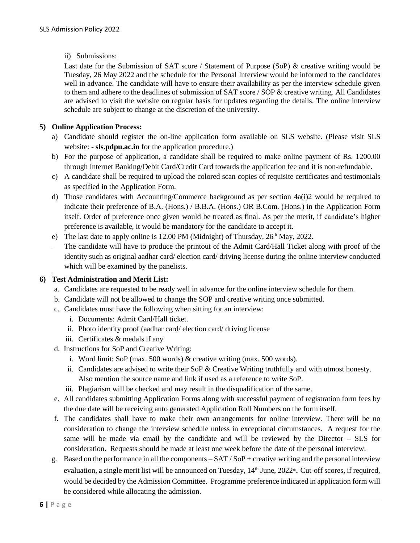ii) Submissions:

Last date for the Submission of SAT score / Statement of Purpose (SoP) & creative writing would be Tuesday, 26 May 2022 and the schedule for the Personal Interview would be informed to the candidates well in advance. The candidate will have to ensure their availability as per the interview schedule given to them and adhere to the deadlines of submission of SAT score / SOP & creative writing. All Candidates are advised to visit the website on regular basis for updates regarding the details. The online interview schedule are subject to change at the discretion of the university.

### **5) Online Application Process:**

- a) Candidate should register the on-line application form available on SLS website. (Please visit SLS website: - **sls.pdpu.ac.in** for the application procedure.)
- b) For the purpose of application, a candidate shall be required to make online payment of Rs. 1200.00 through Internet Banking/Debit Card/Credit Card towards the application fee and it is non-refundable.
- c) A candidate shall be required to upload the colored scan copies of requisite certificates and testimonials as specified in the Application Form.
- d) Those candidates with Accounting/Commerce background as per section 4a(i)2 would be required to indicate their preference of B.A. (Hons.) / B.B.A. (Hons.) OR B.Com. (Hons.) in the Application Form itself. Order of preference once given would be treated as final. As per the merit, if candidate's higher preference is available, it would be mandatory for the candidate to accept it.
- e) The last date to apply online is 12.00 PM (Midnight) of Thursday,  $26<sup>th</sup>$  May, 2022. f) The candidate will have to produce the printout of the Admit Card/Hall Ticket along with proof of the identity such as original aadhar card/ election card/ driving license during the online interview conducted which will be examined by the panelists.

#### **6) Test Administration and Merit List:**

- a. Candidates are requested to be ready well in advance for the online interview schedule for them.
- b. Candidate will not be allowed to change the SOP and creative writing once submitted.
- c. Candidates must have the following when sitting for an interview:
	- i. Documents: Admit Card/Hall ticket.
	- ii. Photo identity proof (aadhar card/ election card/ driving license
	- iii. Certificates & medals if any
- d. Instructions for SoP and Creative Writing:
	- i. Word limit: SoP (max. 500 words) & creative writing (max. 500 words).
	- ii. Candidates are advised to write their SoP & Creative Writing truthfully and with utmost honesty. Also mention the source name and link if used as a reference to write SoP.
	- iii. Plagiarism will be checked and may result in the disqualification of the same.
- e. All candidates submitting Application Forms along with successful payment of registration form fees by the due date will be receiving auto generated Application Roll Numbers on the form itself.
- f. The candidates shall have to make their own arrangements for online interview. There will be no consideration to change the interview schedule unless in exceptional circumstances. A request for the same will be made via email by the candidate and will be reviewed by the Director – SLS for consideration. Requests should be made at least one week before the date of the personal interview.
- g. Based on the performance in all the components SAT / SoP + creative writing and the personal interview evaluation, a single merit list will be announced on Tuesday, 14<sup>th</sup> June, 2022<sup>\*</sup>. Cut-off scores, if required, would be decided by the Admission Committee. Programme preference indicated in application form will be considered while allocating the admission.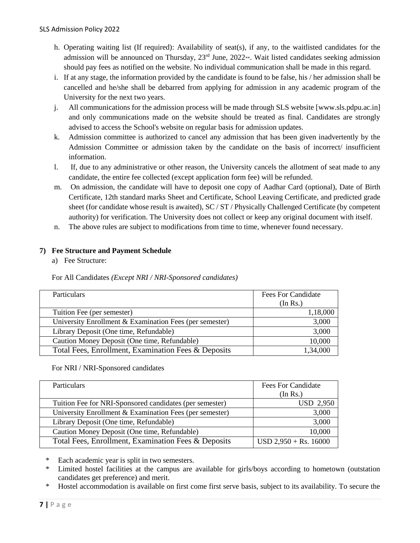- h. Operating waiting list (If required): Availability of seat(s), if any, to the waitlisted candidates for the admission will be announced on Thursday,  $23<sup>rd</sup>$  June,  $2022**$ . Wait listed candidates seeking admission should pay fees as notified on the website. No individual communication shall be made in this regard.
- i. If at any stage, the information provided by the candidate is found to be false, his / her admission shall be cancelled and he/she shall be debarred from applying for admission in any academic program of the University for the next two years.
- j. All communications for the admission process will be made through SLS website [www.sls.pdpu.ac.in] and only communications made on the website should be treated as final. Candidates are strongly advised to access the School's website on regular basis for admission updates.
- k. Admission committee is authorized to cancel any admission that has been given inadvertently by the Admission Committee or admission taken by the candidate on the basis of incorrect/ insufficient information.
- l. If, due to any administrative or other reason, the University cancels the allotment of seat made to any candidate, the entire fee collected (except application form fee) will be refunded.
- m. On admission, the candidate will have to deposit one copy of Aadhar Card (optional), Date of Birth Certificate, 12th standard marks Sheet and Certificate, School Leaving Certificate, and predicted grade sheet (for candidate whose result is awaited), SC / ST / Physically Challenged Certificate (by competent authority) for verification. The University does not collect or keep any original document with itself.
- n. The above rules are subject to modifications from time to time, whenever found necessary.

## **7) Fee Structure and Payment Schedule**

a) Fee Structure:

For All Candidates *(Except NRI / NRI-Sponsored candidates)*

| Particulars                                             | <b>Fees For Candidate</b> |
|---------------------------------------------------------|---------------------------|
|                                                         | (In Rs.)                  |
| Tuition Fee (per semester)                              | 1,18,000                  |
| University Enrollment & Examination Fees (per semester) | 3,000                     |
| Library Deposit (One time, Refundable)                  | 3,000                     |
| Caution Money Deposit (One time, Refundable)            | 10,000                    |
| Total Fees, Enrollment, Examination Fees & Deposits     | 1,34,000                  |

### For NRI / NRI-Sponsored candidates

| <b>Particulars</b>                                      | Fees For Candidate      |
|---------------------------------------------------------|-------------------------|
|                                                         | (In Rs.)                |
| Tuition Fee for NRI-Sponsored candidates (per semester) | <b>USD 2,950</b>        |
| University Enrollment & Examination Fees (per semester) | 3,000                   |
| Library Deposit (One time, Refundable)                  | 3,000                   |
| Caution Money Deposit (One time, Refundable)            | 10,000                  |
| Total Fees, Enrollment, Examination Fees & Deposits     | $USD 2,950 + Rs. 16000$ |

Each academic year is split in two semesters.

\* Limited hostel facilities at the campus are available for girls/boys according to hometown (outstation candidates get preference) and merit.

\* Hostel accommodation is available on first come first serve basis, subject to its availability. To secure the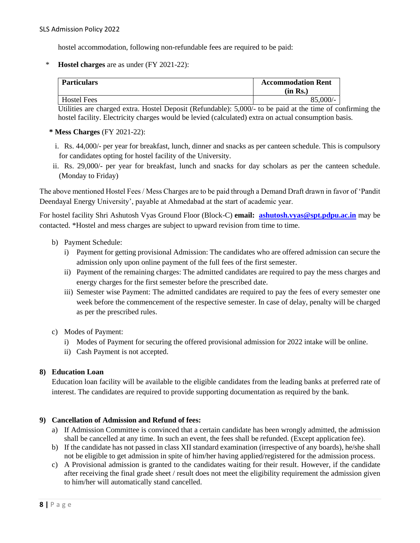hostel accommodation, following non-refundable fees are required to be paid:

\* **Hostel charges** are as under (FY 2021-22):

| <b>Particulars</b> | <b>Accommodation Rent</b><br>(in Rs.) |
|--------------------|---------------------------------------|
| <b>Hostel Fees</b> | $85,000/-$                            |

Utilities are charged extra. Hostel Deposit (Refundable): 5,000/- to be paid at the time of confirming the hostel facility. Electricity charges would be levied (calculated) extra on actual consumption basis.

- **\* Mess Charges** (FY 2021-22):
	- i. Rs. 44,000/- per year for breakfast, lunch, dinner and snacks as per canteen schedule. This is compulsory for candidates opting for hostel facility of the University.
- ii. Rs. 29,000/- per year for breakfast, lunch and snacks for day scholars as per the canteen schedule. (Monday to Friday)

The above mentioned Hostel Fees / Mess Charges are to be paid through a Demand Draft drawn in favor of 'Pandit Deendayal Energy University', payable at Ahmedabad at the start of academic year.

For hostel facility Shri Ashutosh Vyas Ground Floor (Block-C) **email: [ashutosh.vyas@spt.pdpu.ac.in](mailto:ashutosh.vyas@spt.pdpu.ac.in)** may be contacted. \*Hostel and mess charges are subject to upward revision from time to time.

- b) Payment Schedule:
	- i) Payment for getting provisional Admission: The candidates who are offered admission can secure the admission only upon online payment of the full fees of the first semester.
	- ii) Payment of the remaining charges: The admitted candidates are required to pay the mess charges and energy charges for the first semester before the prescribed date.
	- iii) Semester wise Payment: The admitted candidates are required to pay the fees of every semester one week before the commencement of the respective semester. In case of delay, penalty will be charged as per the prescribed rules.
- c) Modes of Payment:
	- i) Modes of Payment for securing the offered provisional admission for 2022 intake will be online.
	- ii) Cash Payment is not accepted.

#### **8) Education Loan**

Education loan facility will be available to the eligible candidates from the leading banks at preferred rate of interest. The candidates are required to provide supporting documentation as required by the bank.

#### **9) Cancellation of Admission and Refund of fees:**

- a) If Admission Committee is convinced that a certain candidate has been wrongly admitted, the admission shall be cancelled at any time. In such an event, the fees shall be refunded. (Except application fee).
- b) If the candidate has not passed in class XII standard examination (irrespective of any boards), he/she shall not be eligible to get admission in spite of him/her having applied/registered for the admission process.
- c) A Provisional admission is granted to the candidates waiting for their result. However, if the candidate after receiving the final grade sheet / result does not meet the eligibility requirement the admission given to him/her will automatically stand cancelled.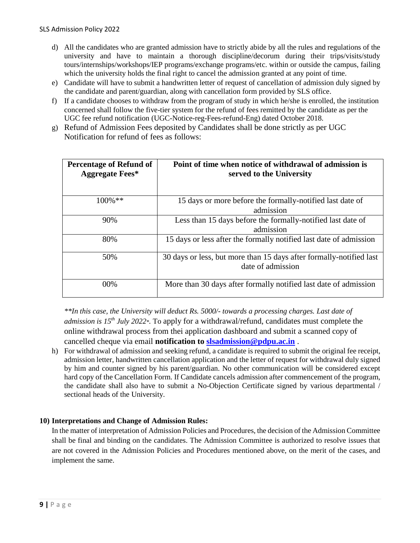- d) All the candidates who are granted admission have to strictly abide by all the rules and regulations of the university and have to maintain a thorough discipline/decorum during their trips/visits/study tours/internships/workshops/IEP programs/exchange programs/etc. within or outside the campus, failing which the university holds the final right to cancel the admission granted at any point of time.
- e) Candidate will have to submit a handwritten letter of request of cancellation of admission duly signed by the candidate and parent/guardian, along with cancellation form provided by SLS office.
- f) If a candidate chooses to withdraw from the program of study in which he/she is enrolled, the institution concerned shall follow the five-tier system for the refund of fees remitted by the candidate as per the UGC fee refund notification (UGC-Notice-reg-Fees-refund-Eng) dated October 2018.
- g) Refund of Admission Fees deposited by Candidates shall be done strictly as per UGC Notification for refund of fees as follows:

| <b>Percentage of Refund of</b><br><b>Aggregate Fees*</b> | Point of time when notice of withdrawal of admission is<br>served to the University      |
|----------------------------------------------------------|------------------------------------------------------------------------------------------|
| $100\%$ **                                               | 15 days or more before the formally-notified last date of<br>admission                   |
| 90%                                                      | Less than 15 days before the formally-notified last date of<br>admission                 |
| 80%                                                      | 15 days or less after the formally notified last date of admission                       |
| 50%                                                      | 30 days or less, but more than 15 days after formally-notified last<br>date of admission |
| 00%                                                      | More than 30 days after formally notified last date of admission                         |

*\*\*In this case, the University will deduct Rs. 5000/- towards a processing charges. Last date of admission is 15th July 2022\*.* To apply for a withdrawal/refund, candidates must complete the online withdrawal process from thei application dashboard and submit a scanned copy of cancelled cheque via email **notification to [slsadmission@pdpu.ac.in](mailto:slsadmission@pdpu.ac.in)** .

h) For withdrawal of admission and seeking refund, a candidate is required to submit the original fee receipt, admission letter, handwritten cancellation application and the letter of request for withdrawal duly signed by him and counter signed by his parent/guardian. No other communication will be considered except hard copy of the Cancellation Form. If Candidate cancels admission after commencement of the program, the candidate shall also have to submit a No-Objection Certificate signed by various departmental / sectional heads of the University.

### **10) Interpretations and Change of Admission Rules:**

In the matter of interpretation of Admission Policies and Procedures, the decision of the Admission Committee shall be final and binding on the candidates. The Admission Committee is authorized to resolve issues that are not covered in the Admission Policies and Procedures mentioned above, on the merit of the cases, and implement the same.